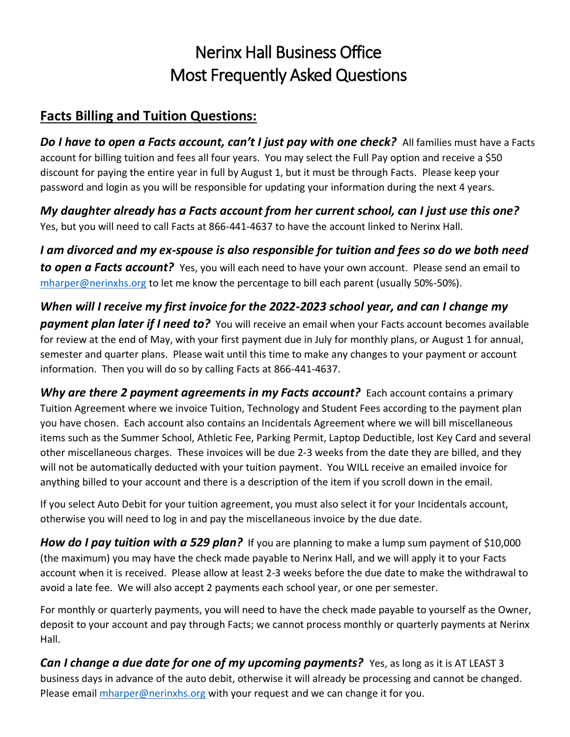## Nerinx Hall Business Office Most Frequently Asked Questions

## **Facts Billing and Tuition Questions:**

**Do I have to open a Facts account, can't I just pay with one check?** All families must have a Facts account for billing tuition and fees all four years. You may select the Full Pay option and receive a \$50 discount for paying the entire year in full by August 1, but it must be through Facts. Please keep your password and login as you will be responsible for updating your information during the next 4 years.

*My daughter already has a Facts account from her current school, can I just use this one?* Yes, but you will need to call Facts at 866-441-4637 to have the account linked to Nerinx Hall.

*I am divorced and my ex-spouse is also responsible for tuition and fees so do we both need to open a Facts account?* Yes, you will each need to have your own account. Please send an email to [mharper@nerinxhs.org](mailto:mharper@nerinxhs.org) to let me know the percentage to bill each parent (usually 50%-50%).

*When will I receive my first invoice for the 2022-2023 school year, and can I change my*  **payment plan later if I need to?** You will receive an email when your Facts account becomes available for review at the end of May, with your first payment due in July for monthly plans, or August 1 for annual, semester and quarter plans. Please wait until this time to make any changes to your payment or account information. Then you will do so by calling Facts at 866-441-4637.

*Why are there 2 payment agreements in my Facts account?* Each account contains a primary Tuition Agreement where we invoice Tuition, Technology and Student Fees according to the payment plan you have chosen. Each account also contains an Incidentals Agreement where we will bill miscellaneous items such as the Summer School, Athletic Fee, Parking Permit, Laptop Deductible, lost Key Card and several other miscellaneous charges. These invoices will be due 2-3 weeks from the date they are billed, and they will not be automatically deducted with your tuition payment. You WILL receive an emailed invoice for anything billed to your account and there is a description of the item if you scroll down in the email.

If you select Auto Debit for your tuition agreement, you must also select it for your Incidentals account, otherwise you will need to log in and pay the miscellaneous invoice by the due date.

**How do I pay tuition with a 529 plan?** If you are planning to make a lump sum payment of \$10,000 (the maximum) you may have the check made payable to Nerinx Hall, and we will apply it to your Facts account when it is received. Please allow at least 2-3 weeks before the due date to make the withdrawal to avoid a late fee. We will also accept 2 payments each school year, or one per semester.

For monthly or quarterly payments, you will need to have the check made payable to yourself as the Owner, deposit to your account and pay through Facts; we cannot process monthly or quarterly payments at Nerinx Hall.

*Can I change a due date for one of my upcoming payments?* Yes, as long as it is AT LEAST 3 business days in advance of the auto debit, otherwise it will already be processing and cannot be changed. Please email *mharper@nerinxhs.org* with your request and we can change it for you.